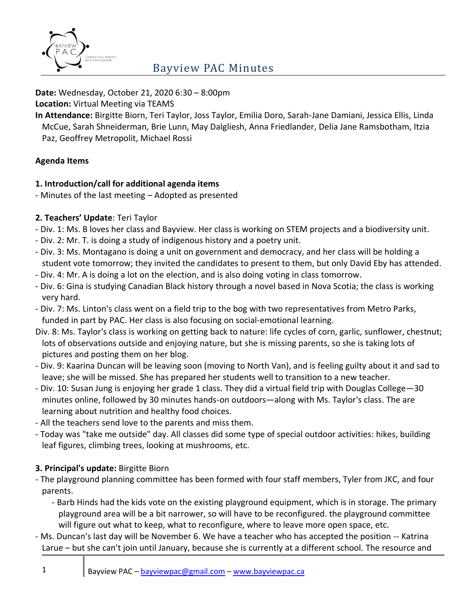

#### **Date:** Wednesday, October 21, 2020 6:30 – 8:00pm

**Location:** Virtual Meeting via TEAMS

**In Attendance:** Birgitte Biorn, Teri Taylor, Joss Taylor, Emilia Doro, Sarah-Jane Damiani, Jessica Ellis, Linda McCue, Sarah Shneiderman, Brie Lunn, May Dalgliesh, Anna Friedlander, Delia Jane Ramsbotham, Itzia Paz, Geoffrey Metropolit, Michael Rossi

# **Agenda Items**

### **1. Introduction/call for additional agenda items**

- Minutes of the last meeting – Adopted as presented

### **2. Teachers' Update**: Teri Taylor

- Div. 1: Ms. B loves her class and Bayview. Her class is working on STEM projects and a biodiversity unit.
- Div. 2: Mr. T. is doing a study of indigenous history and a poetry unit.
- Div. 3: Ms. Montagano is doing a unit on government and democracy, and her class will be holding a student vote tomorrow; they invited the candidates to present to them, but only David Eby has attended.
- Div. 4: Mr. A is doing a lot on the election, and is also doing voting in class tomorrow.
- Div. 6: Gina is studying Canadian Black history through a novel based in Nova Scotia; the class is working very hard.
- Div. 7: Ms. Linton's class went on a field trip to the bog with two representatives from Metro Parks, funded in part by PAC. Her class is also focusing on social-emotional learning.
- Div. 8: Ms. Taylor's class is working on getting back to nature: life cycles of corn, garlic, sunflower, chestnut; lots of observations outside and enjoying nature, but she is missing parents, so she is taking lots of pictures and posting them on her blog.
- Div. 9: Kaarina Duncan will be leaving soon (moving to North Van), and is feeling guilty about it and sad to leave; she will be missed. She has prepared her students well to transition to a new teacher.
- Div. 10: Susan Jung is enjoying her grade 1 class. They did a virtual field trip with Douglas College—30 minutes online, followed by 30 minutes hands-on outdoors—along with Ms. Taylor's class. The are learning about nutrition and healthy food choices.
- All the teachers send love to the parents and miss them.
- Today was "take me outside" day. All classes did some type of special outdoor activities: hikes, building leaf figures, climbing trees, looking at mushrooms, etc.

# **3. Principal's update:** Birgitte Biorn

- The playground planning committee has been formed with four staff members, Tyler from JKC, and four parents.
	- Barb Hinds had the kids vote on the existing playground equipment, which is in storage. The primary playground area will be a bit narrower, so will have to be reconfigured. the playground committee will figure out what to keep, what to reconfigure, where to leave more open space, etc.
- Ms. Duncan's last day will be November 6. We have a teacher who has accepted the position -- Katrina Larue – but she can't join until January, because she is currently at a different school. The resource and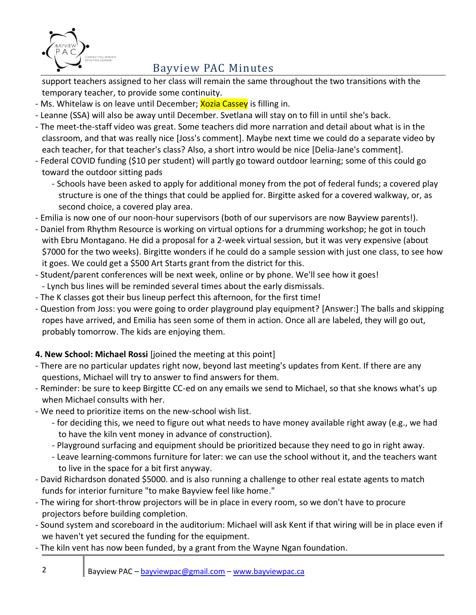

support teachers assigned to her class will remain the same throughout the two transitions with the temporary teacher, to provide some continuity.

- Ms. Whitelaw is on leave until December; **Xozia Cassey** is filling in.
- Leanne (SSA) will also be away until December. Svetlana will stay on to fill in until she's back.
- The meet-the-staff video was great. Some teachers did more narration and detail about what is in the classroom, and that was really nice [Joss's comment]. Maybe next time we could do a separate video by each teacher, for that teacher's class? Also, a short intro would be nice [Delia-Jane's comment].
- Federal COVID funding (\$10 per student) will partly go toward outdoor learning; some of this could go toward the outdoor sitting pads
	- Schools have been asked to apply for additional money from the pot of federal funds; a covered play structure is one of the things that could be applied for. Birgitte asked for a covered walkway, or, as second choice, a covered play area.
- Emilia is now one of our noon-hour supervisors (both of our supervisors are now Bayview parents!).
- Daniel from Rhythm Resource is working on virtual options for a drumming workshop; he got in touch with Ebru Montagano. He did a proposal for a 2-week virtual session, but it was very expensive (about \$7000 for the two weeks). Birgitte wonders if he could do a sample session with just one class, to see how it goes. We could get a \$500 Art Starts grant from the district for this.
- Student/parent conferences will be next week, online or by phone. We'll see how it goes!
- Lynch bus lines will be reminded several times about the early dismissals.
- The K classes got their bus lineup perfect this afternoon, for the first time!
- Question from Joss: you were going to order playground play equipment? [Answer:] The balls and skipping ropes have arrived, and Emilia has seen some of them in action. Once all are labeled, they will go out, probably tomorrow. The kids are enjoying them.

# **4. New School: Michael Rossi** [joined the meeting at this point]

- There are no particular updates right now, beyond last meeting's updates from Kent. If there are any questions, Michael will try to answer to find answers for them.
- Reminder: be sure to keep Birgitte CC-ed on any emails we send to Michael, so that she knows what's up when Michael consults with her.
- We need to prioritize items on the new-school wish list.
	- for deciding this, we need to figure out what needs to have money available right away (e.g., we had to have the kiln vent money in advance of construction).
	- Playground surfacing and equipment should be prioritized because they need to go in right away.
	- Leave learning-commons furniture for later: we can use the school without it, and the teachers want to live in the space for a bit first anyway.
- David Richardson donated \$5000. and is also running a challenge to other real estate agents to match funds for interior furniture "to make Bayview feel like home."
- The wiring for short-throw projectors will be in place in every room, so we don't have to procure projectors before building completion.
- Sound system and scoreboard in the auditorium: Michael will ask Kent if that wiring will be in place even if we haven't yet secured the funding for the equipment.
- The kiln vent has now been funded, by a grant from the Wayne Ngan foundation.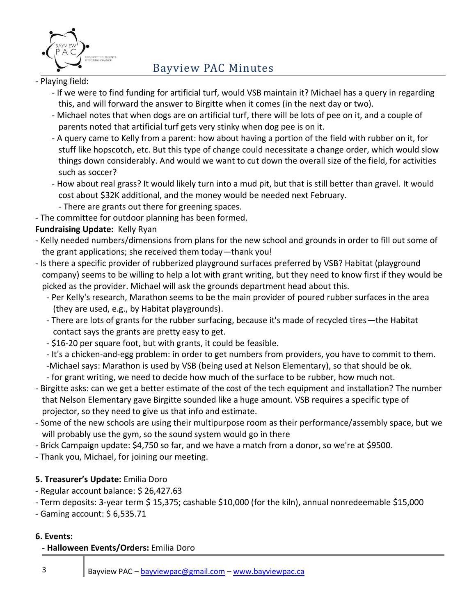

#### - Playing field:

- If we were to find funding for artificial turf, would VSB maintain it? Michael has a query in regarding this, and will forward the answer to Birgitte when it comes (in the next day or two).
- Michael notes that when dogs are on artificial turf, there will be lots of pee on it, and a couple of parents noted that artificial turf gets very stinky when dog pee is on it.
- A query came to Kelly from a parent: how about having a portion of the field with rubber on it, for stuff like hopscotch, etc. But this type of change could necessitate a change order, which would slow things down considerably. And would we want to cut down the overall size of the field, for activities such as soccer?
- How about real grass? It would likely turn into a mud pit, but that is still better than gravel. It would cost about \$32K additional, and the money would be needed next February.
- There are grants out there for greening spaces.

- The committee for outdoor planning has been formed.

### **Fundraising Update:** Kelly Ryan

- Kelly needed numbers/dimensions from plans for the new school and grounds in order to fill out some of the grant applications; she received them today—thank you!
- Is there a specific provider of rubberized playground surfaces preferred by VSB? Habitat (playground company) seems to be willing to help a lot with grant writing, but they need to know first if they would be picked as the provider. Michael will ask the grounds department head about this.
	- Per Kelly's research, Marathon seems to be the main provider of poured rubber surfaces in the area (they are used, e.g., by Habitat playgrounds).
	- There are lots of grants for the rubber surfacing, because it's made of recycled tires—the Habitat contact says the grants are pretty easy to get.
	- \$16-20 per square foot, but with grants, it could be feasible.
	- It's a chicken-and-egg problem: in order to get numbers from providers, you have to commit to them.
	- -Michael says: Marathon is used by VSB (being used at Nelson Elementary), so that should be ok.
	- for grant writing, we need to decide how much of the surface to be rubber, how much not.
- Birgitte asks: can we get a better estimate of the cost of the tech equipment and installation? The number that Nelson Elementary gave Birgitte sounded like a huge amount. VSB requires a specific type of projector, so they need to give us that info and estimate.
- Some of the new schools are using their multipurpose room as their performance/assembly space, but we will probably use the gym, so the sound system would go in there
- Brick Campaign update: \$4,750 so far, and we have a match from a donor, so we're at \$9500.
- Thank you, Michael, for joining our meeting.

# **5. Treasurer's Update:** Emilia Doro

- Regular account balance: \$ 26,427.63
- Term deposits: 3-year term \$ 15,375; cashable \$10,000 (for the kiln), annual nonredeemable \$15,000
- Gaming account: \$ 6,535.71

#### **6. Events:**

#### **- Halloween Events/Orders:** Emilia Doro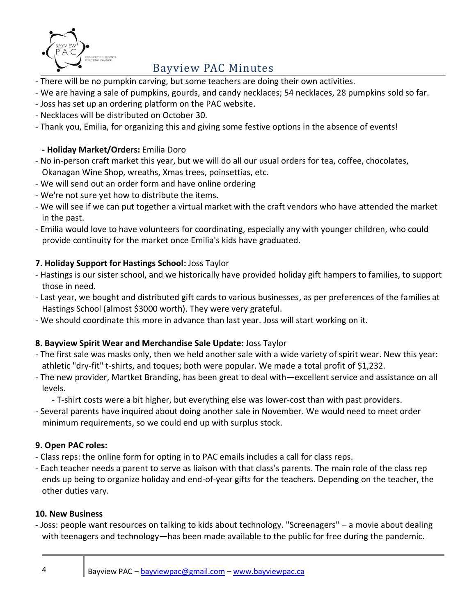

- There will be no pumpkin carving, but some teachers are doing their own activities.
- We are having a sale of pumpkins, gourds, and candy necklaces; 54 necklaces, 28 pumpkins sold so far.
- Joss has set up an ordering platform on the PAC website.
- Necklaces will be distributed on October 30.
- Thank you, Emilia, for organizing this and giving some festive options in the absence of events!

### **- Holiday Market/Orders:** Emilia Doro

- No in-person craft market this year, but we will do all our usual orders for tea, coffee, chocolates, Okanagan Wine Shop, wreaths, Xmas trees, poinsettias, etc.
- We will send out an order form and have online ordering
- We're not sure yet how to distribute the items.
- We will see if we can put together a virtual market with the craft vendors who have attended the market in the past.
- Emilia would love to have volunteers for coordinating, especially any with younger children, who could provide continuity for the market once Emilia's kids have graduated.

# **7. Holiday Support for Hastings School:** Joss Taylor

- Hastings is our sister school, and we historically have provided holiday gift hampers to families, to support those in need.
- Last year, we bought and distributed gift cards to various businesses, as per preferences of the families at Hastings School (almost \$3000 worth). They were very grateful.
- We should coordinate this more in advance than last year. Joss will start working on it.

#### **8. Bayview Spirit Wear and Merchandise Sale Update:** Joss Taylor

- The first sale was masks only, then we held another sale with a wide variety of spirit wear. New this year: athletic "dry-fit" t-shirts, and toques; both were popular. We made a total profit of \$1,232.
- The new provider, Martket Branding, has been great to deal with—excellent service and assistance on all levels.
	- T-shirt costs were a bit higher, but everything else was lower-cost than with past providers.
- Several parents have inquired about doing another sale in November. We would need to meet order minimum requirements, so we could end up with surplus stock.

#### **9. Open PAC roles:**

- Class reps: the online form for opting in to PAC emails includes a call for class reps.
- Each teacher needs a parent to serve as liaison with that class's parents. The main role of the class rep ends up being to organize holiday and end-of-year gifts for the teachers. Depending on the teacher, the other duties vary.

#### **10. New Business**

- Joss: people want resources on talking to kids about technology. "Screenagers" – a movie about dealing with teenagers and technology—has been made available to the public for free during the pandemic.